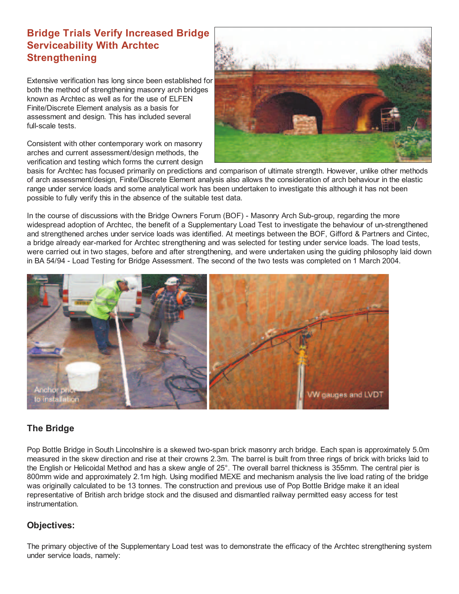## **Bridge Trials Verify Increased Bridge Serviceability With Archtec Strengthening**

Extensive verification has long since been established for both the method of strengthening masonry arch bridges known as Archtec as well as for the use of ELFEN Finite/Discrete Element analysis as a basis for assessment and design. This has included several full-scale tests.

Consistent with other contemporary work on masonry arches and current assessment/design methods, the verification and testing which forms the current design



basis for Archtec has focused primarily on predictions and comparison of ultimate strength. However, unlike other methods of arch assessment/design, Finite/Discrete Element analysis also allows the consideration of arch behaviour in the elastic range under service loads and some analytical work has been undertaken to investigate this although it has not been possible to fully verify this in the absence of the suitable test data.

In the course of discussions with the Bridge Owners Forum (BOF) - Masonry Arch Sub-group, regarding the more widespread adoption of Archtec, the benefit of a Supplementary Load Test to investigate the behaviour of un-strengthened and strengthened arches under service loads was identified. At meetings between the BOF, Gifford & Partners and Cintec, a bridge already ear-marked for Archtec strengthening and was selected for testing under service loads. The load tests, were carried out in two stages, before and after strengthening, and were undertaken using the guiding philosophy laid down in BA 54/94 - Load Testing for Bridge Assessment. The second of the two tests was completed on 1 March 2004.



## **The Bridge**

Pop Bottle Bridge in South Lincolnshire is a skewed two-span brick masonry arch bridge. Each span is approximately 5.0m measured in the skew direction and rise at their crowns 2.3m. The barrel is built from three rings of brick with bricks laid to the English or Helicoidal Method and has a skew angle of 25°. The overall barrel thickness is 355mm. The central pier is 800mm wide and approximately 2.1m high. Using modified MEXE and mechanism analysis the live load rating of the bridge was originally calculated to be 13 tonnes. The construction and previous use of Pop Bottle Bridge make it an ideal representative of British arch bridge stock and the disused and dismantled railway permitted easy access for test **instrumentation** 

## **Objectives:**

The primary objective of the Supplementary Load test was to demonstrate the efficacy of the Archtec strengthening system under service loads, namely: